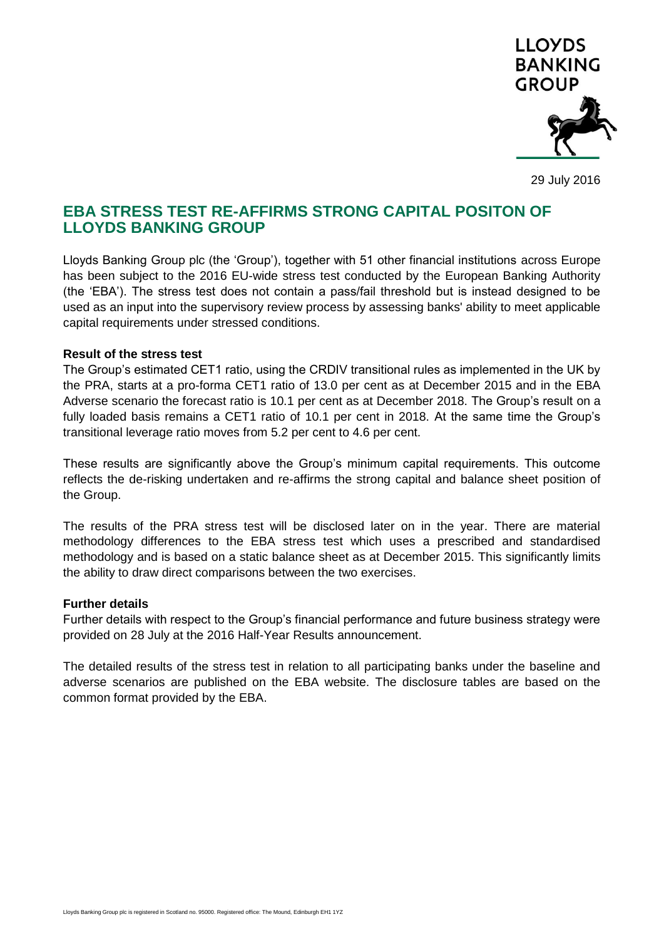

29 July 2016

# **EBA STRESS TEST RE-AFFIRMS STRONG CAPITAL POSITON OF LLOYDS BANKING GROUP**

Lloyds Banking Group plc (the 'Group'), together with 51 other financial institutions across Europe has been subject to the 2016 EU-wide stress test conducted by the European Banking Authority (the 'EBA'). The stress test does not contain a pass/fail threshold but is instead designed to be used as an input into the supervisory review process by assessing banks' ability to meet applicable capital requirements under stressed conditions.

### **Result of the stress test**

The Group's estimated CET1 ratio, using the CRDIV transitional rules as implemented in the UK by the PRA, starts at a pro-forma CET1 ratio of 13.0 per cent as at December 2015 and in the EBA Adverse scenario the forecast ratio is 10.1 per cent as at December 2018. The Group's result on a fully loaded basis remains a CET1 ratio of 10.1 per cent in 2018. At the same time the Group's transitional leverage ratio moves from 5.2 per cent to 4.6 per cent.

These results are significantly above the Group's minimum capital requirements. This outcome reflects the de-risking undertaken and re-affirms the strong capital and balance sheet position of the Group.

The results of the PRA stress test will be disclosed later on in the year. There are material methodology differences to the EBA stress test which uses a prescribed and standardised methodology and is based on a static balance sheet as at December 2015. This significantly limits the ability to draw direct comparisons between the two exercises.

### **Further details**

Further details with respect to the Group's financial performance and future business strategy were provided on 28 July at the 2016 Half-Year Results announcement.

The detailed results of the stress test in relation to all participating banks under the baseline and adverse scenarios are published on the EBA website. The disclosure tables are based on the common format provided by the EBA.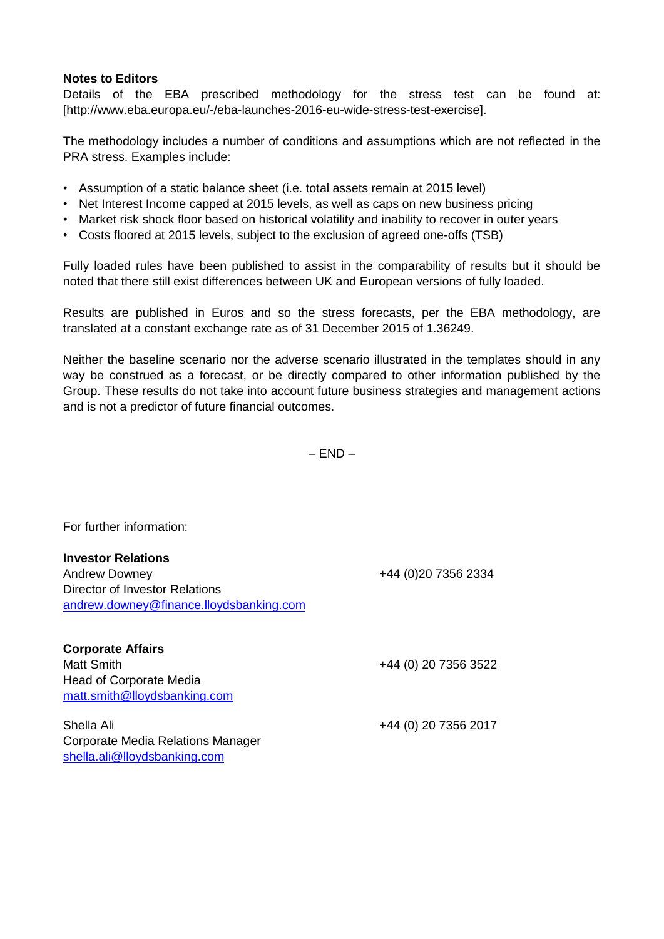## **Notes to Editors**

Details of the EBA prescribed methodology for the stress test can be found at: [http://www.eba.europa.eu/-/eba-launches-2016-eu-wide-stress-test-exercise].

The methodology includes a number of conditions and assumptions which are not reflected in the PRA stress. Examples include:

- Assumption of a static balance sheet (i.e. total assets remain at 2015 level)
- Net Interest Income capped at 2015 levels, as well as caps on new business pricing
- Market risk shock floor based on historical volatility and inability to recover in outer years
- Costs floored at 2015 levels, subject to the exclusion of agreed one-offs (TSB)

Fully loaded rules have been published to assist in the comparability of results but it should be noted that there still exist differences between UK and European versions of fully loaded.

Results are published in Euros and so the stress forecasts, per the EBA methodology, are translated at a constant exchange rate as of 31 December 2015 of 1.36249.

Neither the baseline scenario nor the adverse scenario illustrated in the templates should in any way be construed as a forecast, or be directly compared to other information published by the Group. These results do not take into account future business strategies and management actions and is not a predictor of future financial outcomes.

 $-$  END  $-$ 

For further information:

| <b>Investor Relations</b><br><b>Andrew Downey</b> | +44 (0) 20 7356 2334 |
|---------------------------------------------------|----------------------|
|                                                   |                      |
| andrew.downey@finance.lloydsbanking.com           |                      |
| <b>Corporate Affairs</b>                          |                      |
| <b>Matt Smith</b>                                 | +44 (0) 20 7356 3522 |
| <b>Head of Corporate Media</b>                    |                      |
| matt.smith@lloydsbanking.com                      |                      |
| Shella Ali                                        | +44 (0) 20 7356 2017 |
| Corporate Media Relations Manager                 |                      |
| shella.ali@lloydsbanking.com                      |                      |
|                                                   |                      |